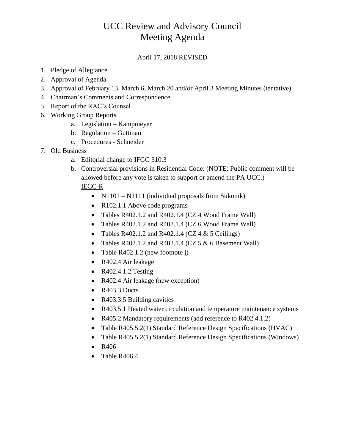## UCC Review and Advisory Council Meeting Agenda

## April 17, 2018 REVISED

- 1. Pledge of Allegiance
- 2. Approval of Agenda
- 3. Approval of February 13, March 6, March 20 and/or April 3 Meeting Minutes (tentative)
- 4. Chairman's Comments and Correspondence.
- 5. Report of the RAC's Counsel
- 6. Working Group Reports
	- a. Legislation Kampmeyer
	- b. Regulation Guttman
	- c. Procedures Schneider
- 7. Old Business
	- a. Editorial change to IFGC 310.3
	- b. Controversial provisions in Residential Code: (NOTE: Public comment will be allowed before any vote is taken to support or amend the PA UCC.) IECC-R
		- N1101 N1111 (individual proposals from Sukonik)
		- R102.1.1 Above code programs
		- Tables R402.1.2 and R402.1.4 (CZ 4 Wood Frame Wall)
		- Tables R402.1.2 and R402.1.4 (CZ 6 Wood Frame Wall)
		- Tables R402.1.2 and R402.1.4 (CZ 4  $&$  5 Ceilings)
		- Tables R402.1.2 and R402.1.4 (CZ  $5 & 6$  Basement Wall)
		- Table R402.1.2 (new footnote j)
		- R402.4 Air leakage
		- R402.4.1.2 Testing
		- R402.4 Air leakage (new exception)
		- R403.3 Ducts
		- R403.3.5 Building cavities
		- R403.5.1 Heated water circulation and temperature maintenance systems
		- R405.2 Mandatory requirements (add reference to R402.4.1.2)
		- Table R405.5.2(1) Standard Reference Design Specifications (HVAC)
		- Table R405.5.2(1) Standard Reference Design Specifications (Windows)
		- R406
		- Table R406.4